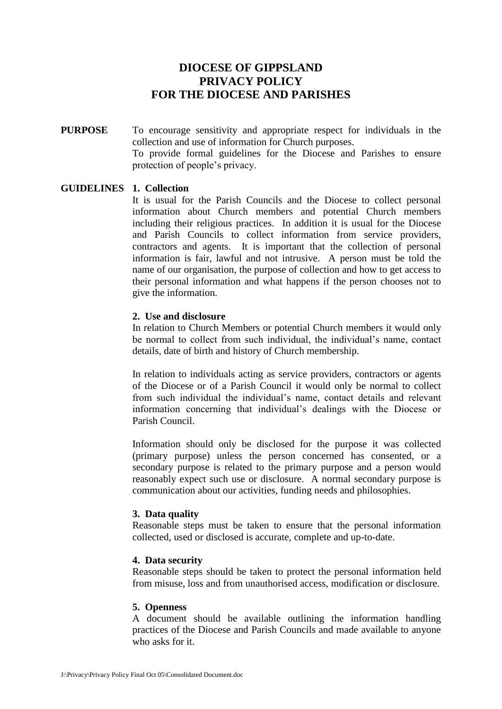# **DIOCESE OF GIPPSLAND PRIVACY POLICY FOR THE DIOCESE AND PARISHES**

**PURPOSE** To encourage sensitivity and appropriate respect for individuals in the collection and use of information for Church purposes. To provide formal guidelines for the Diocese and Parishes to ensure protection of people's privacy.

#### **GUIDELINES 1. Collection**

It is usual for the Parish Councils and the Diocese to collect personal information about Church members and potential Church members including their religious practices. In addition it is usual for the Diocese and Parish Councils to collect information from service providers, contractors and agents. It is important that the collection of personal information is fair, lawful and not intrusive. A person must be told the name of our organisation, the purpose of collection and how to get access to their personal information and what happens if the person chooses not to give the information.

#### **2. Use and disclosure**

In relation to Church Members or potential Church members it would only be normal to collect from such individual, the individual's name, contact details, date of birth and history of Church membership.

In relation to individuals acting as service providers, contractors or agents of the Diocese or of a Parish Council it would only be normal to collect from such individual the individual's name, contact details and relevant information concerning that individual's dealings with the Diocese or Parish Council.

Information should only be disclosed for the purpose it was collected (primary purpose) unless the person concerned has consented, or a secondary purpose is related to the primary purpose and a person would reasonably expect such use or disclosure. A normal secondary purpose is communication about our activities, funding needs and philosophies.

#### **3. Data quality**

Reasonable steps must be taken to ensure that the personal information collected, used or disclosed is accurate, complete and up-to-date.

#### **4. Data security**

Reasonable steps should be taken to protect the personal information held from misuse, loss and from unauthorised access, modification or disclosure.

#### **5. Openness**

A document should be available outlining the information handling practices of the Diocese and Parish Councils and made available to anyone who asks for it.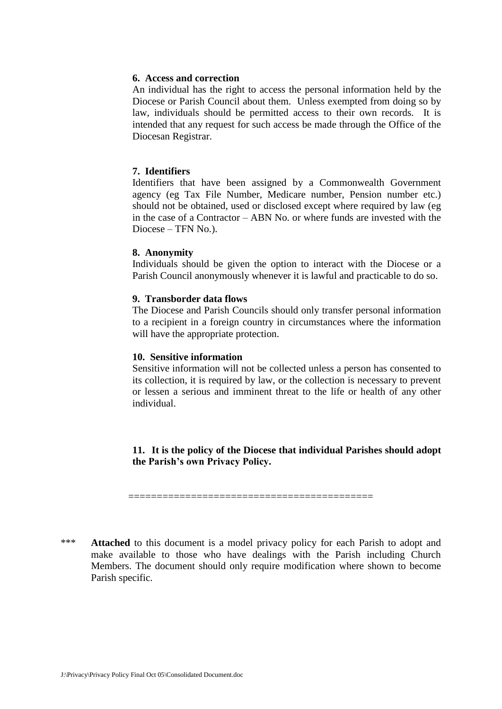#### **6. Access and correction**

An individual has the right to access the personal information held by the Diocese or Parish Council about them. Unless exempted from doing so by law, individuals should be permitted access to their own records. It is intended that any request for such access be made through the Office of the Diocesan Registrar.

# **7. Identifiers**

Identifiers that have been assigned by a Commonwealth Government agency (eg Tax File Number, Medicare number, Pension number etc.) should not be obtained, used or disclosed except where required by law (eg in the case of a Contractor – ABN No. or where funds are invested with the Diocese – TFN No.).

#### **8. Anonymity**

Individuals should be given the option to interact with the Diocese or a Parish Council anonymously whenever it is lawful and practicable to do so.

#### **9. Transborder data flows**

The Diocese and Parish Councils should only transfer personal information to a recipient in a foreign country in circumstances where the information will have the appropriate protection.

#### **10. Sensitive information**

Sensitive information will not be collected unless a person has consented to its collection, it is required by law, or the collection is necessary to prevent or lessen a serious and imminent threat to the life or health of any other individual.

**11. It is the policy of the Diocese that individual Parishes should adopt the Parish's own Privacy Policy.**

===========================================

\*\*\* **Attached** to this document is a model privacy policy for each Parish to adopt and make available to those who have dealings with the Parish including Church Members. The document should only require modification where shown to become Parish specific.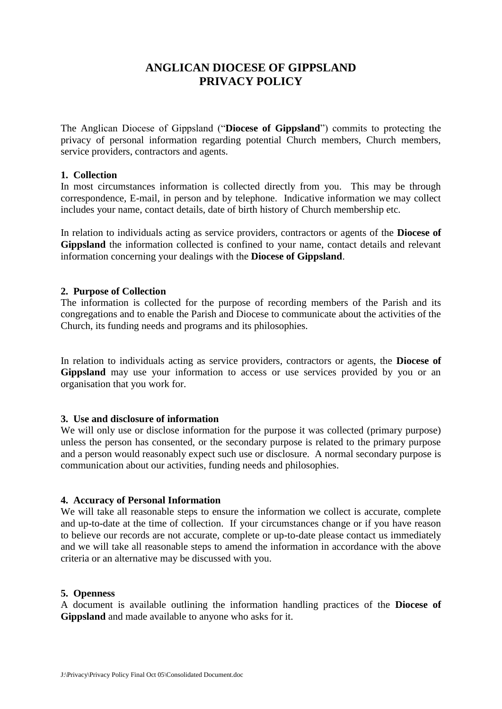# **ANGLICAN DIOCESE OF GIPPSLAND PRIVACY POLICY**

The Anglican Diocese of Gippsland ("**Diocese of Gippsland**") commits to protecting the privacy of personal information regarding potential Church members, Church members, service providers, contractors and agents.

# **1. Collection**

In most circumstances information is collected directly from you. This may be through correspondence, E-mail, in person and by telephone. Indicative information we may collect includes your name, contact details, date of birth history of Church membership etc.

In relation to individuals acting as service providers, contractors or agents of the **Diocese of Gippsland** the information collected is confined to your name, contact details and relevant information concerning your dealings with the **Diocese of Gippsland**.

#### **2. Purpose of Collection**

The information is collected for the purpose of recording members of the Parish and its congregations and to enable the Parish and Diocese to communicate about the activities of the Church, its funding needs and programs and its philosophies.

In relation to individuals acting as service providers, contractors or agents, the **Diocese of Gippsland** may use your information to access or use services provided by you or an organisation that you work for.

# **3. Use and disclosure of information**

We will only use or disclose information for the purpose it was collected (primary purpose) unless the person has consented, or the secondary purpose is related to the primary purpose and a person would reasonably expect such use or disclosure. A normal secondary purpose is communication about our activities, funding needs and philosophies.

# **4. Accuracy of Personal Information**

We will take all reasonable steps to ensure the information we collect is accurate, complete and up-to-date at the time of collection. If your circumstances change or if you have reason to believe our records are not accurate, complete or up-to-date please contact us immediately and we will take all reasonable steps to amend the information in accordance with the above criteria or an alternative may be discussed with you.

# **5. Openness**

A document is available outlining the information handling practices of the **Diocese of Gippsland** and made available to anyone who asks for it.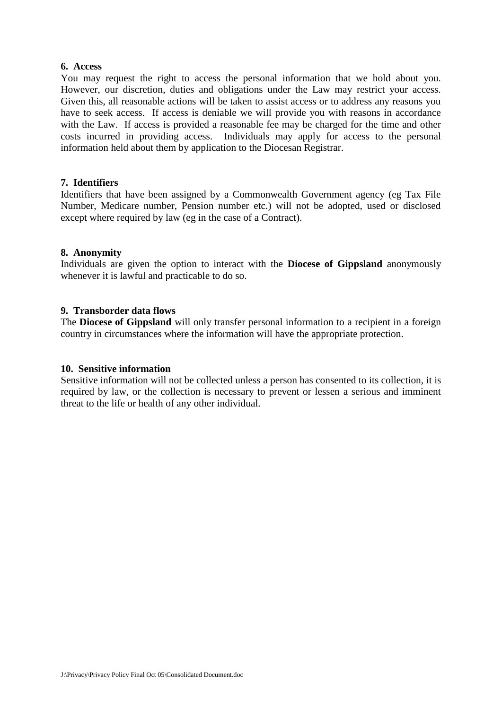#### **6. Access**

You may request the right to access the personal information that we hold about you. However, our discretion, duties and obligations under the Law may restrict your access. Given this, all reasonable actions will be taken to assist access or to address any reasons you have to seek access. If access is deniable we will provide you with reasons in accordance with the Law. If access is provided a reasonable fee may be charged for the time and other costs incurred in providing access. Individuals may apply for access to the personal information held about them by application to the Diocesan Registrar.

# **7. Identifiers**

Identifiers that have been assigned by a Commonwealth Government agency (eg Tax File Number, Medicare number, Pension number etc.) will not be adopted, used or disclosed except where required by law (eg in the case of a Contract).

#### **8. Anonymity**

Individuals are given the option to interact with the **Diocese of Gippsland** anonymously whenever it is lawful and practicable to do so.

#### **9. Transborder data flows**

The **Diocese of Gippsland** will only transfer personal information to a recipient in a foreign country in circumstances where the information will have the appropriate protection.

#### **10. Sensitive information**

Sensitive information will not be collected unless a person has consented to its collection, it is required by law, or the collection is necessary to prevent or lessen a serious and imminent threat to the life or health of any other individual.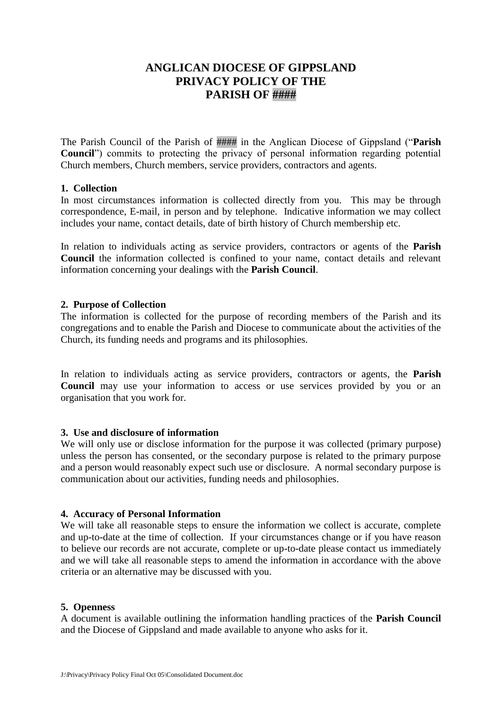# **ANGLICAN DIOCESE OF GIPPSLAND PRIVACY POLICY OF THE PARISH OF ####**

The Parish Council of the Parish of #### in the Anglican Diocese of Gippsland ("**Parish Council**") commits to protecting the privacy of personal information regarding potential Church members, Church members, service providers, contractors and agents.

# **1. Collection**

In most circumstances information is collected directly from you. This may be through correspondence, E-mail, in person and by telephone. Indicative information we may collect includes your name, contact details, date of birth history of Church membership etc.

In relation to individuals acting as service providers, contractors or agents of the **Parish Council** the information collected is confined to your name, contact details and relevant information concerning your dealings with the **Parish Council**.

#### **2. Purpose of Collection**

The information is collected for the purpose of recording members of the Parish and its congregations and to enable the Parish and Diocese to communicate about the activities of the Church, its funding needs and programs and its philosophies.

In relation to individuals acting as service providers, contractors or agents, the **Parish Council** may use your information to access or use services provided by you or an organisation that you work for.

# **3. Use and disclosure of information**

We will only use or disclose information for the purpose it was collected (primary purpose) unless the person has consented, or the secondary purpose is related to the primary purpose and a person would reasonably expect such use or disclosure. A normal secondary purpose is communication about our activities, funding needs and philosophies.

# **4. Accuracy of Personal Information**

We will take all reasonable steps to ensure the information we collect is accurate, complete and up-to-date at the time of collection. If your circumstances change or if you have reason to believe our records are not accurate, complete or up-to-date please contact us immediately and we will take all reasonable steps to amend the information in accordance with the above criteria or an alternative may be discussed with you.

#### **5. Openness**

A document is available outlining the information handling practices of the **Parish Council** and the Diocese of Gippsland and made available to anyone who asks for it.